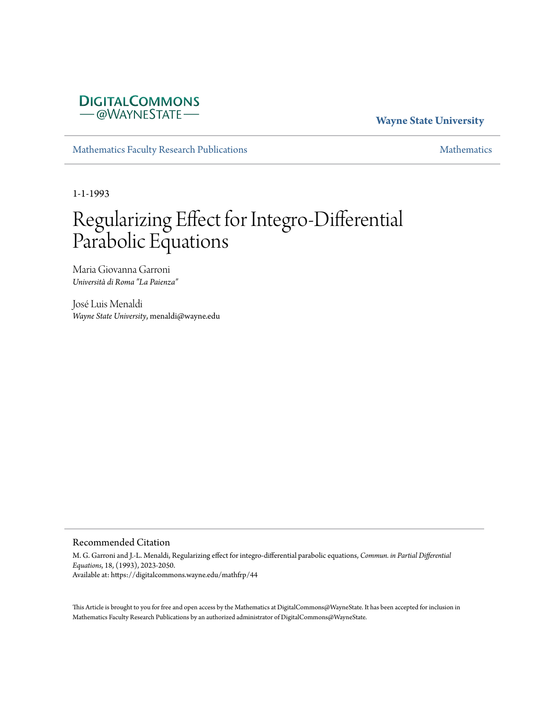# **DIGITALCOMMONS** - @WAYNESTATE-

# **Wayne State University**

[Mathematics Faculty Research Publications](https://digitalcommons.wayne.edu/mathfrp) and the mathematics of the [Mathematics](https://digitalcommons.wayne.edu/math) Mathematics Mathematics of the Mathematics of the Mathematics of the Mathematics of the Mathematics of the Mathematics of the Mathematics of

1-1-1993

# Regularizing Effect for Integro-Differential Parabolic Equations

Maria Giovanna Garroni *Università di Roma "La Paienza"*

José Luis Menaldi *Wayne State University*, menaldi@wayne.edu

#### Recommended Citation

M. G. Garroni and J.-L. Menaldi, Regularizing effect for integro-differential parabolic equations, *Commun. in Partial Differential Equations*, 18, (1993), 2023-2050. Available at: https://digitalcommons.wayne.edu/mathfrp/44

This Article is brought to you for free and open access by the Mathematics at DigitalCommons@WayneState. It has been accepted for inclusion in Mathematics Faculty Research Publications by an authorized administrator of DigitalCommons@WayneState.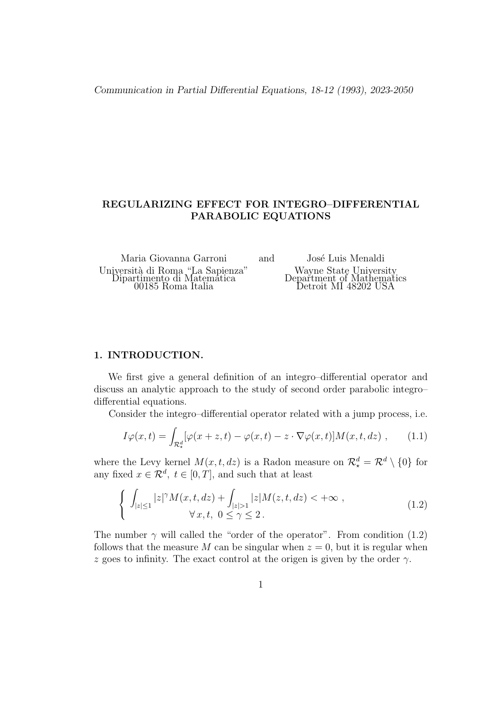*Communication in Partial Differential Equations, 18-12 (1993), 2023-2050*

## **REGULARIZING EFFECT FOR INTEGRO–DIFFERENTIAL PARABOLIC EQUATIONS**

Maria Giovanna Garroni and José Luis Menaldi Università di Roma "La Sapienza" Wayne State University Dipartimento di Matematica Department of Mathematics 00185 Roma Italia Detroit MI 48202 USA

## **1. INTRODUCTION.**

We first give a general definition of an integro–differential operator and discuss an analytic approach to the study of second order parabolic integro– differential equations.

Consider the integro–differential operator related with a jump process, i.e.

$$
I\varphi(x,t) = \int_{\mathcal{R}_\star^d} [\varphi(x+z,t) - \varphi(x,t) - z \cdot \nabla \varphi(x,t)] M(x,t,dz) , \qquad (1.1)
$$

where the Levy kernel  $M(x, t, dz)$  is a Radon measure on  $\mathcal{R}_{\star}^{d} = \mathcal{R}^{d} \setminus \{0\}$  for any fixed  $x \in \mathcal{R}^d$ ,  $t \in [0, T]$ , and such that at least

$$
\begin{cases} \int_{|z|\leq 1} |z|^{\gamma} M(x,t,dz) + \int_{|z|> 1} |z| M(z,t,dz) < +\infty ,\\ \forall x,t, \ 0 \leq \gamma \leq 2. \end{cases}
$$
\n(1.2)

The number  $\gamma$  will called the "order of the operator". From condition (1.2) follows that the measure M can be singular when  $z = 0$ , but it is regular when *z* goes to infinity. The exact control at the origen is given by the order  $\gamma$ .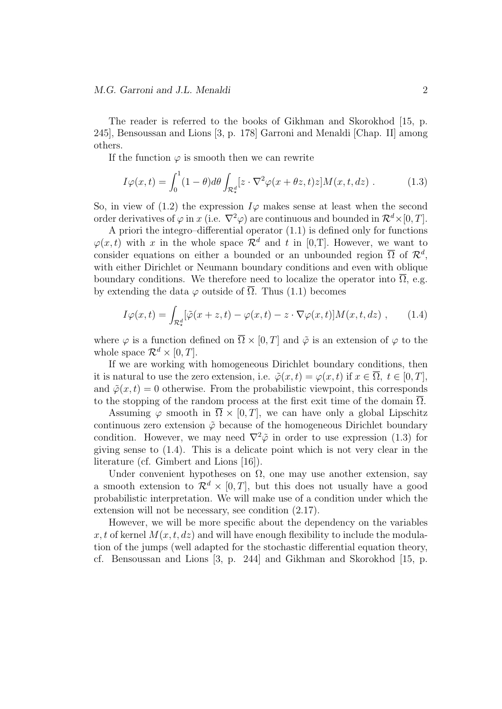The reader is referred to the books of Gikhman and Skorokhod [15, p. 245], Bensoussan and Lions [3, p. 178] Garroni and Menaldi [Chap. II] among others.

If the function  $\varphi$  is smooth then we can rewrite

$$
I\varphi(x,t) = \int_0^1 (1-\theta)d\theta \int_{\mathcal{R}^d_*} [z \cdot \nabla^2 \varphi(x+\theta z,t)z] M(x,t,dz) . \tag{1.3}
$$

So, in view of  $(1.2)$  the expression  $I\varphi$  makes sense at least when the second order derivatives of  $\varphi$  in *x* (i.e.  $\nabla^2 \varphi$ ) are continuous and bounded in  $\mathcal{R}^d \times [0, T]$ .

A priori the integro–differential operator (1.1) is defined only for functions  $\varphi(x, t)$  with *x* in the whole space  $\mathcal{R}^d$  and *t* in [0,T]. However, we want to consider equations on either a bounded or an unbounded region  $\overline{\Omega}$  of  $\mathcal{R}^d$ , with either Dirichlet or Neumann boundary conditions and even with oblique boundary conditions. We therefore need to localize the operator into  $\overline{\Omega}$ , e.g. by extending the data  $\varphi$  outside of  $\overline{\Omega}$ . Thus (1.1) becomes

$$
I\varphi(x,t) = \int_{\mathcal{R}_\star^d} [\tilde{\varphi}(x+z,t) - \varphi(x,t) - z \cdot \nabla \varphi(x,t)] M(x,t,dz) , \qquad (1.4)
$$

where  $\varphi$  is a function defined on  $\overline{\Omega} \times [0,T]$  and  $\tilde{\varphi}$  is an extension of  $\varphi$  to the whole space  $\mathcal{R}^d \times [0, T]$ .

If we are working with homogeneous Dirichlet boundary conditions, then it is natural to use the zero extension, i.e.  $\tilde{\varphi}(x,t) = \varphi(x,t)$  if  $x \in \overline{\Omega}$ ,  $t \in [0,T]$ , and  $\tilde{\varphi}(x,t) = 0$  otherwise. From the probabilistic viewpoint, this corresponds to the stopping of the random process at the first exit time of the domain  $\overline{\Omega}$ .

Assuming  $\varphi$  smooth in  $\Omega \times [0, T]$ , we can have only a global Lipschitz continuous zero extension  $\tilde{\varphi}$  because of the homogeneous Dirichlet boundary condition. However, we may need  $\nabla^2 \tilde{\varphi}$  in order to use expression (1.3) for giving sense to (1.4). This is a delicate point which is not very clear in the literature (cf. Gimbert and Lions [16]).

Under convenient hypotheses on  $\Omega$ , one may use another extension, say a smooth extension to  $\mathcal{R}^d \times [0,T]$ , but this does not usually have a good probabilistic interpretation. We will make use of a condition under which the extension will not be necessary, see condition (2.17).

However, we will be more specific about the dependency on the variables  $x, t$  of kernel  $M(x, t, dz)$  and will have enough flexibility to include the modulation of the jumps (well adapted for the stochastic differential equation theory, cf. Bensoussan and Lions [3, p. 244] and Gikhman and Skorokhod [15, p.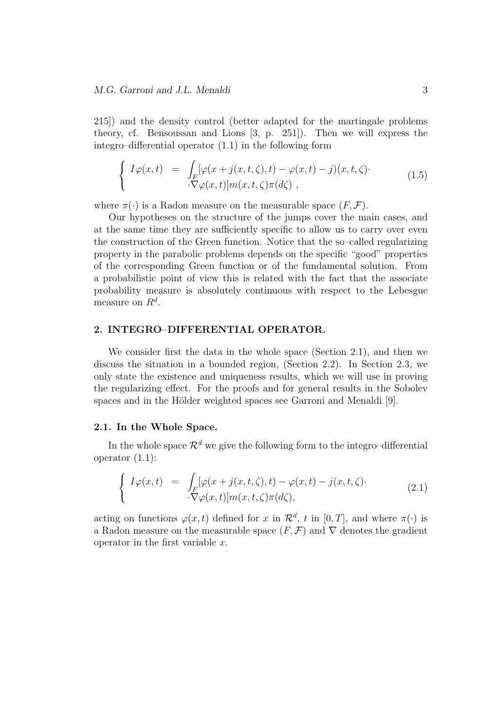215]) and the density control (better adapted for the martingale problems theory, cf. Bensoussan and Lions [3, p. 251]). Then we will express the integro–differential operator (1.1) in the following form

$$
\begin{cases}\nI\varphi(x,t) = \int_F [\varphi(x+j(x,t,\zeta),t) - \varphi(x,t) - j)(x,t,\zeta) \cdot \nabla \varphi(x,t)]m(x,t,\zeta)\pi(d\zeta),\n\end{cases} \tag{1.5}
$$

where  $\pi(\cdot)$  is a Radon measure on the measurable space  $(F, \mathcal{F})$ .

Our hypotheses on the structure of the jumps cover the main cases, and at the same time they are sufficiently specific to allow us to carry over even the construction of the Green function. Notice that the so–called regularizing property in the parabolic problems depends on the specific "good" properties of the corresponding Green function or of the fundamental solution. From a probabilistic point of view this is related with the fact that the associate probability measure is absolutely continuous with respect to the Lebesgue measure on *R<sup>d</sup>* .

#### **2. INTEGRO–DIFFERENTIAL OPERATOR.**

We consider first the data in the whole space (Section 2.1), and then we discuss the situation in a bounded region, (Section 2.2). In Section 2.3, we only state the existence and uniqueness results, which we will use in proving the regularizing effect. For the proofs and for general results in the Sobolev spaces and in the Hölder weighted spaces see Garroni and Menaldi [9].

#### **2.1. In the Whole Space.**

In the whole space  $\mathcal{R}^d$  we give the following form to the integro–differential operator  $(1.1)$ :

$$
\begin{cases}\nI\varphi(x,t) = \int_F [\varphi(x+j(x,t,\zeta),t) - \varphi(x,t) - j(x,t,\zeta) \cdot \nabla \varphi(x,t)]m(x,t,\zeta)\pi(d\zeta),\n\end{cases} \tag{2.1}
$$

acting on functions  $\varphi(x, t)$  defined for *x* in  $\mathcal{R}^d$ , *t* in [0, *T*], and where  $\pi(\cdot)$  is a Radon measure on the measurable space  $(F, \mathcal{F})$  and  $\nabla$  denotes the gradient operator in the first variable *x*.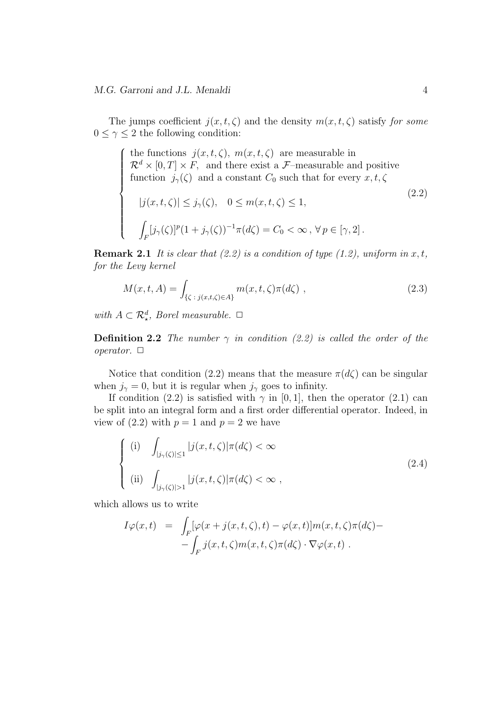$\begin{array}{c} \hline \end{array}$ 

The jumps coefficient  $j(x, t, \zeta)$  and the density  $m(x, t, \zeta)$  satisfy *for some*  $0 \leq \gamma \leq 2$  the following condition:

 $\int$  the functions  $j(x, t, \zeta)$ ,  $m(x, t, \zeta)$  are measurable in  $\mathcal{R}^d \times [0,T] \times F$ , and there exist a *F*–measurable and positive function  $j_\gamma(\zeta)$  and a constant  $C_0$  such that for every  $x, t, \zeta$ 

$$
|j(x, t, \zeta)| \le j_{\gamma}(\zeta), \quad 0 \le m(x, t, \zeta) \le 1,
$$
  

$$
\int_{F} [j_{\gamma}(\zeta)]^{p} (1 + j_{\gamma}(\zeta))^{-1} \pi(d\zeta) = C_{0} < \infty, \forall p \in [\gamma, 2].
$$
 (2.2)

**Remark 2.1** *It is clear that (2.2) is a condition of type (1.2), uniform in*  $x, t$ *, for the Levy kernel*

$$
M(x, t, A) = \int_{\{\zeta \ : \ j(x, t, \zeta) \in A\}} m(x, t, \zeta) \pi(d\zeta) , \qquad (2.3)
$$

*with*  $A \subset \mathbb{R}^d$ , *Borel measurable.*  $\Box$ 

**Definition 2.2** *The number*  $\gamma$  *in condition (2.2) is called the order of the operator.*  $\Box$ 

Notice that condition (2.2) means that the measure  $\pi(d\zeta)$  can be singular when  $j_\gamma = 0$ , but it is regular when  $j_\gamma$  goes to infinity.

If condition (2.2) is satisfied with  $\gamma$  in [0, 1], then the operator (2.1) can be split into an integral form and a first order differential operator. Indeed, in view of  $(2.2)$  with  $p = 1$  and  $p = 2$  we have

$$
\begin{cases}\n(i) \quad \int_{|j_{\gamma}(\zeta)|\leq 1} |j(x,t,\zeta)|\pi(d\zeta) < \infty \\
(ii) \quad \int_{|j_{\gamma}(\zeta)|> 1} |j(x,t,\zeta)|\pi(d\zeta) < \infty\n\end{cases}
$$
\n(2.4)

which allows us to write

$$
I\varphi(x,t) = \int_F [\varphi(x+j(x,t,\zeta),t) - \varphi(x,t)]m(x,t,\zeta)\pi(d\zeta) -
$$

$$
-\int_F j(x,t,\zeta)m(x,t,\zeta)\pi(d\zeta) \cdot \nabla \varphi(x,t).
$$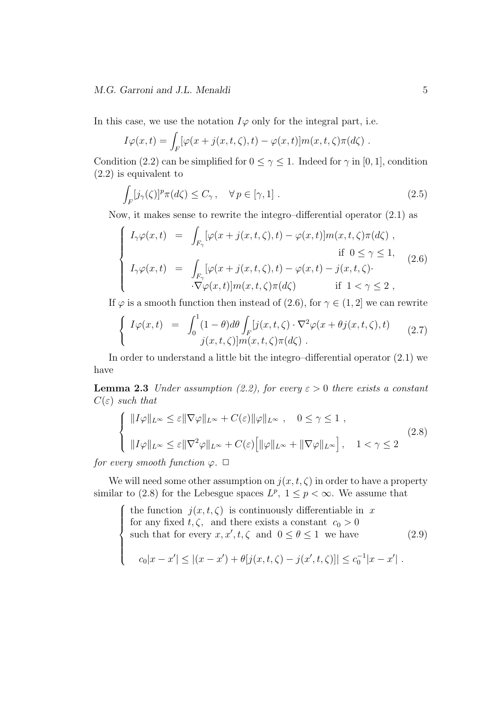In this case, we use the notation  $I\varphi$  only for the integral part, i.e.

$$
I\varphi(x,t) = \int_F [\varphi(x+j(x,t,\zeta),t) - \varphi(x,t)]m(x,t,\zeta)\pi(d\zeta).
$$

Condition (2.2) can be simplified for  $0 \leq \gamma \leq 1$ . Indeed for  $\gamma$  in [0, 1], condition (2.2) is equivalent to

$$
\int_{F} [j_{\gamma}(\zeta)]^{p} \pi(d\zeta) \leq C_{\gamma}, \quad \forall p \in [\gamma, 1]. \tag{2.5}
$$

Now, it makes sense to rewrite the integro–differential operator (2.1) as

$$
\begin{cases}\nI_{\gamma}\varphi(x,t) = \int_{F_{\gamma}} [\varphi(x+j(x,t,\zeta),t) - \varphi(x,t)]m(x,t,\zeta)\pi(d\zeta), \\
\text{if } 0 \le \gamma \le 1, \\
I_{\gamma}\varphi(x,t) = \int_{F_{\gamma}} [\varphi(x+j(x,t,\zeta),t) - \varphi(x,t) - j(x,t,\zeta). \\
\cdot\nabla \varphi(x,t)]m(x,t,\zeta)\pi(d\zeta) \quad \text{if } 1 < \gamma \le 2,\n\end{cases}
$$
\n(2.6)

If  $\varphi$  is a smooth function then instead of (2.6), for  $\gamma \in (1, 2]$  we can rewrite

$$
\begin{cases}\nI\varphi(x,t) = \int_0^1 (1-\theta)d\theta \int_F [j(x,t,\zeta)\cdot \nabla^2 \varphi(x+\theta j(x,t,\zeta),t) \\
j(x,t,\zeta)]m(x,t,\zeta)\pi(d\zeta)\n\end{cases} (2.7)
$$

In order to understand a little bit the integro–differential operator (2.1) we have

**Lemma 2.3** *Under assumption (2.2), for every*  $\varepsilon > 0$  *there exists a constant C*(*ε*) *such that*

$$
\begin{cases}\n||I\varphi||_{L^{\infty}} \leq \varepsilon ||\nabla\varphi||_{L^{\infty}} + C(\varepsilon) ||\varphi||_{L^{\infty}}, \quad 0 \leq \gamma \leq 1 ,\\ \n||I\varphi||_{L^{\infty}} \leq \varepsilon ||\nabla^2\varphi||_{L^{\infty}} + C(\varepsilon) \Big[ ||\varphi||_{L^{\infty}} + ||\nabla\varphi||_{L^{\infty}} \Big], \quad 1 < \gamma \leq 2\n\end{cases}
$$
\n(2.8)

*for every smooth function*  $\varphi$ .  $\Box$ 

We will need some other assumption on  $j(x, t, \zeta)$  in order to have a property similar to (2.8) for the Lebesgue spaces  $L^p$ ,  $1 \leq p < \infty$ . We assume that

 $\sqrt{ }$  $\Bigg\}$  $\overline{\mathcal{L}}$ the function  $j(x, t, \zeta)$  is continuously differentiable in x for any fixed  $t, \zeta$ , and there exists a constant  $c_0 > 0$ such that for every  $x, x', t, \zeta$  and  $0 \le \theta \le 1$  we have  $c_0|x-x'| \leq |(x-x') + \theta[j(x,t,\zeta) - j(x',t,\zeta)]| \leq c_0^{-1}|x-x'|$ . (2.9)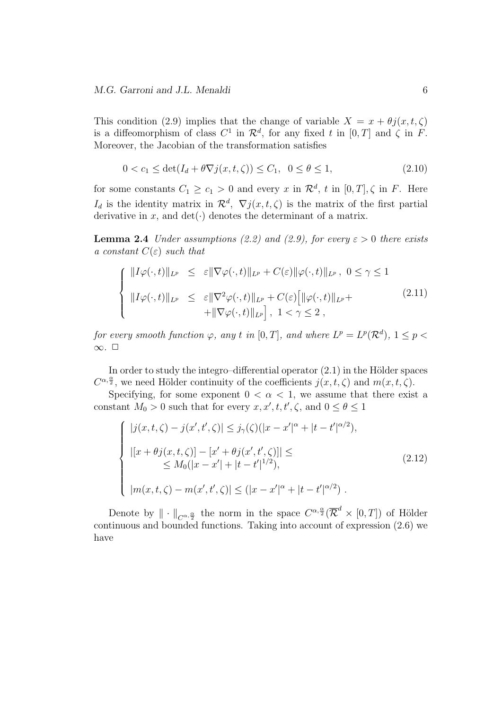This condition (2.9) implies that the change of variable  $X = x + \theta i(x, t, \zeta)$ is a diffeomorphism of class  $C^1$  in  $\mathcal{R}^d$ , for any fixed *t* in  $[0, T]$  and  $\zeta$  in *F*. Moreover, the Jacobian of the transformation satisfies

$$
0 < c_1 \le \det(I_d + \theta \nabla j(x, t, \zeta)) \le C_1, \ \ 0 \le \theta \le 1,
$$
\n(2.10)

for some constants  $C_1 \geq c_1 > 0$  and every  $x$  in  $\mathcal{R}^d$ ,  $t$  in  $[0, T]$ ,  $\zeta$  in  $F$ . Here *I*<sup>d</sup> is the identity matrix in  $\mathcal{R}^d$ ,  $\nabla j(x,t,\zeta)$  is the matrix of the first partial derivative in *x*, and  $det(\cdot)$  denotes the determinant of a matrix.

**Lemma 2.4** *Under assumptions (2.2) and (2.9), for every*  $\varepsilon > 0$  *there exists a constant*  $C(\varepsilon)$  *such that* 

$$
\begin{cases}\n||I\varphi(\cdot,t)||_{L^p} \leq \varepsilon ||\nabla \varphi(\cdot,t)||_{L^p} + C(\varepsilon)||\varphi(\cdot,t)||_{L^p}, \ 0 \leq \gamma \leq 1 \\
||I\varphi(\cdot,t)||_{L^p} \leq \varepsilon ||\nabla^2 \varphi(\cdot,t)||_{L^p} + C(\varepsilon)[||\varphi(\cdot,t)||_{L^p} + \n+ ||\nabla \varphi(\cdot,t)||_{L^p}], \ 1 < \gamma \leq 2,\n\end{cases} \tag{2.11}
$$

*for every smooth function*  $\varphi$ *, any t in* [0*,T*]*, and where*  $L^p = L^p(\mathcal{R}^d)$ *,*  $1 \leq p$ *∞. ✷*

In order to study the integro–differential operator  $(2.1)$  in the Hölder spaces  $C^{\alpha, \frac{\alpha}{2}}$ , we need Hölder continuity of the coefficients  $j(x, t, \zeta)$  and  $m(x, t, \zeta)$ .

Specifying, for some exponent  $0 < \alpha < 1$ , we assume that there exist a constant  $M_0 > 0$  such that for every  $x, x', t, t', \zeta$ , and  $0 \le \theta \le 1$ 

$$
\begin{cases}\n|j(x,t,\zeta) - j(x',t',\zeta)| \leq j_{\gamma}(\zeta)(|x - x'|^{\alpha} + |t - t'|^{\alpha/2}), \\
|[x + \theta j(x,t,\zeta)] - [x' + \theta j(x',t',\zeta)]| \leq \\
\leq M_0(|x - x'| + |t - t'|^{1/2}), \\
|m(x,t,\zeta) - m(x',t',\zeta)| \leq (|x - x'|^{\alpha} + |t - t'|^{\alpha/2}) .\n\end{cases} \tag{2.12}
$$

Denote by  $\|\cdot\|_{C^{\alpha,\frac{\alpha}{2}}}$  the norm in the space  $C^{\alpha,\frac{\alpha}{2}}(\overline{\mathcal{R}}^d\times[0,T])$  of Hölder continuous and bounded functions. Taking into account of expression (2.6) we have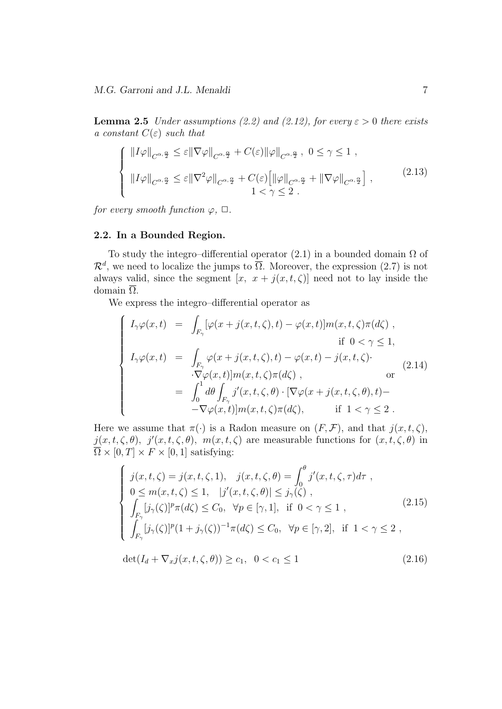**Lemma 2.5** *Under assumptions (2.2) and (2.12), for every*  $\varepsilon > 0$  *there exists a constant*  $C(\varepsilon)$  *such that* 

$$
\begin{cases} ||I\varphi||_{C^{\alpha,\frac{\alpha}{2}}} \leq \varepsilon ||\nabla\varphi||_{C^{\alpha,\frac{\alpha}{2}}} + C(\varepsilon) ||\varphi||_{C^{\alpha,\frac{\alpha}{2}}}, \ 0 \leq \gamma \leq 1 ,\\ ||I\varphi||_{C^{\alpha,\frac{\alpha}{2}}} \leq \varepsilon ||\nabla^2\varphi||_{C^{\alpha,\frac{\alpha}{2}}} + C(\varepsilon) \Big[ ||\varphi||_{C^{\alpha,\frac{\alpha}{2}}} + ||\nabla\varphi||_{C^{\alpha,\frac{\alpha}{2}}} \Big],\\ 1 < \gamma \leq 2 . \end{cases} \tag{2.13}
$$

*for every smooth function*  $\varphi$ ,  $\Box$ *.* 

## **2.2. In a Bounded Region.**

To study the integro–differential operator  $(2.1)$  in a bounded domain  $\Omega$  of  $\mathcal{R}^d$ , we need to localize the jumps to  $\overline{\Omega}$ . Moreover, the expression (2.7) is not always valid, since the segment  $[x, x + j(x, t, \zeta)]$  need not to lay inside the domain  $\overline{\Omega}$ .

We express the integro–differential operator as

$$
\begin{cases}\nI_{\gamma}\varphi(x,t) = \int_{F_{\gamma}} [\varphi(x+j(x,t,\zeta),t) - \varphi(x,t)]m(x,t,\zeta)\pi(d\zeta) ,\nif 0 < \gamma \le 1, \\
I_{\gamma}\varphi(x,t) = \int_{F_{\gamma}} \varphi(x+j(x,t,\zeta),t) - \varphi(x,t) - j(x,t,\zeta) .\\
\cdot \nabla \varphi(x,t)]m(x,t,\zeta)\pi(d\zeta) , & or \\
= \int_{0}^{1} d\theta \int_{F_{\gamma}} j'(x,t,\zeta,\theta) \cdot [\nabla \varphi(x+j(x,t,\zeta,\theta),t) - \\-\nabla \varphi(x,t)]m(x,t,\zeta)\pi(d\zeta), & if 1 < \gamma \le 2.\n\end{cases}
$$
\n(2.14)

Here we assume that  $\pi(\cdot)$  is a Radon measure on  $(F, \mathcal{F})$ , and that  $j(x, t, \zeta)$ ,  $j(x, t, \zeta, \theta)$ ,  $j'(x, t, \zeta, \theta)$ ,  $m(x, t, \zeta)$  are measurable functions for  $(x, t, \zeta, \theta)$  in  $\overline{\Omega} \times [0, T] \times F \times [0, 1]$  satisfying:

$$
\begin{cases}\nj(x,t,\zeta) = j(x,t,\zeta,1), & j(x,t,\zeta,\theta) = \int_0^\theta j'(x,t,\zeta,\tau)d\tau, \\
0 \le m(x,t,\zeta) \le 1, & |j'(x,t,\zeta,\theta)| \le j_\gamma(\zeta), \\
\int_{F_\gamma} [j_\gamma(\zeta)]^p \pi(d\zeta) \le C_0, & \forall p \in [\gamma,1], \text{ if } 0 < \gamma \le 1, \\
\int_{F_\gamma} [j_\gamma(\zeta)]^p (1+j_\gamma(\zeta))^{-1} \pi(d\zeta) \le C_0, & \forall p \in [\gamma,2], \text{ if } 1 < \gamma \le 2,\n\end{cases}
$$
\n(2.15)

$$
\det(I_d + \nabla_x j(x, t, \zeta, \theta)) \ge c_1, \quad 0 < c_1 \le 1 \tag{2.16}
$$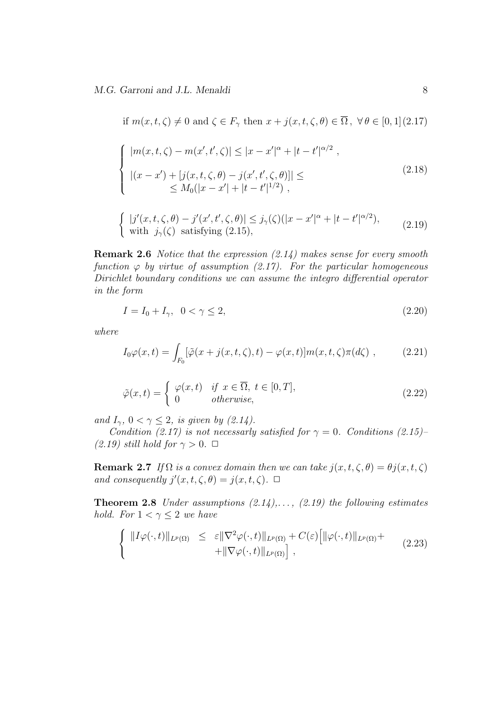*M.G. Garroni and J.L. Menaldi* 8

if 
$$
m(x, t, \zeta) \neq 0
$$
 and  $\zeta \in F_{\gamma}$  then  $x + j(x, t, \zeta, \theta) \in \overline{\Omega}$ ,  $\forall \theta \in [0, 1](2.17)$   
\n
$$
\begin{cases}\n|m(x, t, \zeta) - m(x', t', \zeta)| \leq |x - x'|^{\alpha} + |t - t'|^{\alpha/2}, \\
|(x - x') + [j(x, t, \zeta, \theta) - j(x', t', \zeta, \theta)]| \leq \\
\leq M_0(|x - x'| + |t - t'|^{1/2}), \\
\{ |j'(x, t, \zeta, \theta) - j'(x', t', \zeta, \theta)| \leq j_{\gamma}(\zeta)(|x - x'|^{\alpha} + |t - t'|^{\alpha/2}), \\
\text{with } j_{\gamma}(\zeta) \text{ satisfying (2.15)},\n\end{cases}
$$
\n(2.19)

**Remark 2.6** *Notice that the expression (2.14) makes sense for every smooth function*  $\varphi$  *by virtue of assumption (2.17). For the particular homogeneous Dirichlet boundary conditions we can assume the integro differential operator in the form*

$$
I = I_0 + I_\gamma, \ \ 0 < \gamma \le 2,\tag{2.20}
$$

*where*

$$
I_0\varphi(x,t) = \int_{F_0} [\tilde{\varphi}(x+j(x,t,\zeta),t) - \varphi(x,t)]m(x,t,\zeta)\pi(d\zeta) , \qquad (2.21)
$$

$$
\tilde{\varphi}(x,t) = \begin{cases} \varphi(x,t) & \text{if } x \in \overline{\Omega}, \ t \in [0,T], \\ 0 & \text{otherwise}, \end{cases}
$$
\n(2.22)

*and*  $I_{\gamma}$ ,  $0 < \gamma \leq 2$ , *is given by (2.14).* 

*Condition (2.17) is not necessarly satisfied for*  $\gamma = 0$ *. Conditions (2.15)–*  $(2.19)$  *still hold for*  $\gamma > 0$ .  $\Box$ 

**Remark 2.7** *If*  $\Omega$  *is a convex domain then we can take*  $j(x, t, \zeta, \theta) = \theta j(x, t, \zeta)$ *and consequently*  $j'(x, t, \zeta, \theta) = j(x, t, \zeta)$ .  $\Box$ 

**Theorem 2.8** *Under assumptions (2.14),. . . , (2.19) the following estimates hold.* For  $1 < \gamma \leq 2$  *we have* 

$$
\left\{\n\begin{array}{rcl}\n\|I\varphi(\cdot,t)\|_{L^p(\Omega)} & \leq & \varepsilon \|\nabla^2\varphi(\cdot,t)\|_{L^p(\Omega)} + C(\varepsilon) \left[\|\varphi(\cdot,t)\|_{L^p(\Omega)} + \right. \\
& & \left. + \|\nabla\varphi(\cdot,t)\|_{L^p(\Omega)}\right],\n\end{array}\n\right.\n\tag{2.23}
$$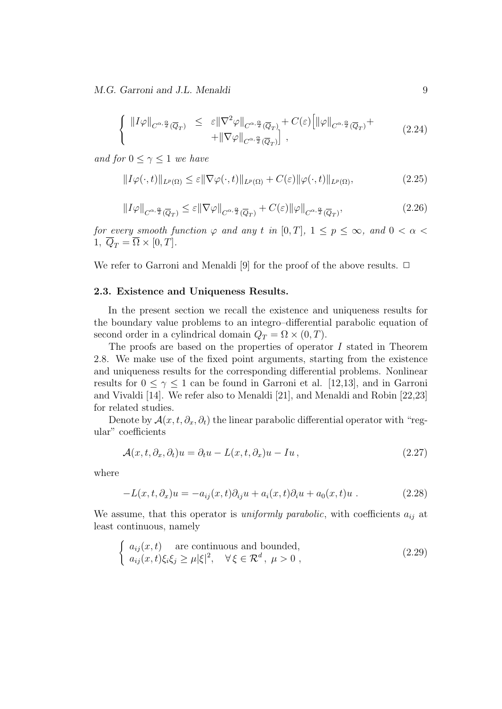*M.G. Garroni and J.L. Menaldi* 9

$$
\begin{cases} ||I\varphi||_{C^{\alpha,\frac{\alpha}{2}}(\overline{Q}_T)} \leq \varepsilon ||\nabla^2 \varphi||_{C^{\alpha,\frac{\alpha}{2}}(\overline{Q}_T)} + C(\varepsilon) \Big[ ||\varphi||_{C^{\alpha,\frac{\alpha}{2}}(\overline{Q}_T)} + \\ + ||\nabla \varphi||_{C^{\alpha,\frac{\alpha}{2}}(\overline{Q}_T)} \Big], \end{cases}
$$
(2.24)

*and for*  $0 \leq \gamma \leq 1$  *we have* 

$$
||I\varphi(\cdot,t)||_{L^{p}(\Omega)} \leq \varepsilon ||\nabla\varphi(\cdot,t)||_{L^{p}(\Omega)} + C(\varepsilon)||\varphi(\cdot,t)||_{L^{p}(\Omega)},
$$
\n(2.25)

$$
||I\varphi||_{C^{\alpha,\frac{\alpha}{2}}(\overline{Q}_T)} \leq \varepsilon ||\nabla\varphi||_{C^{\alpha,\frac{\alpha}{2}}(\overline{Q}_T)} + C(\varepsilon)||\varphi||_{C^{\alpha,\frac{\alpha}{2}}(\overline{Q}_T)},\tag{2.26}
$$

*for every smooth function*  $\varphi$  *and any t in* [0*,T*]*,* 1  $\leq$  *p*  $\leq \infty$ *, and* 0  $< \alpha$ 1,  $\overline{Q}_T = \overline{\Omega} \times [0, T]$ .

We refer to Garroni and Menaldi [9] for the proof of the above results.  $\Box$ 

#### **2.3. Existence and Uniqueness Results.**

In the present section we recall the existence and uniqueness results for the boundary value problems to an integro–differential parabolic equation of second order in a cylindrical domain  $Q_T = \Omega \times (0, T)$ .

The proofs are based on the properties of operator *I* stated in Theorem 2.8. We make use of the fixed point arguments, starting from the existence and uniqueness results for the corresponding differential problems. Nonlinear results for  $0 \leq \gamma \leq 1$  can be found in Garroni et al. [12,13], and in Garroni and Vivaldi [14]. We refer also to Menaldi [21], and Menaldi and Robin [22,23] for related studies.

Denote by  $\mathcal{A}(x, t, \partial_x, \partial_t)$  the linear parabolic differential operator with "regular" coefficients

$$
\mathcal{A}(x,t,\partial_x,\partial_t)u = \partial_t u - L(x,t,\partial_x)u - I u, \qquad (2.27)
$$

where

$$
-L(x,t,\partial_x)u = -a_{ij}(x,t)\partial_{ij}u + a_i(x,t)\partial_i u + a_0(x,t)u . \qquad (2.28)
$$

We assume, that this operator is *uniformly parabolic*, with coefficients *aij* at least continuous, namely

$$
\begin{cases}\n a_{ij}(x,t) & \text{are continuous and bounded,} \\
 a_{ij}(x,t)\xi_i\xi_j \ge \mu |\xi|^2, \quad \forall \xi \in \mathcal{R}^d, \ \mu > 0,\n\end{cases}
$$
\n(2.29)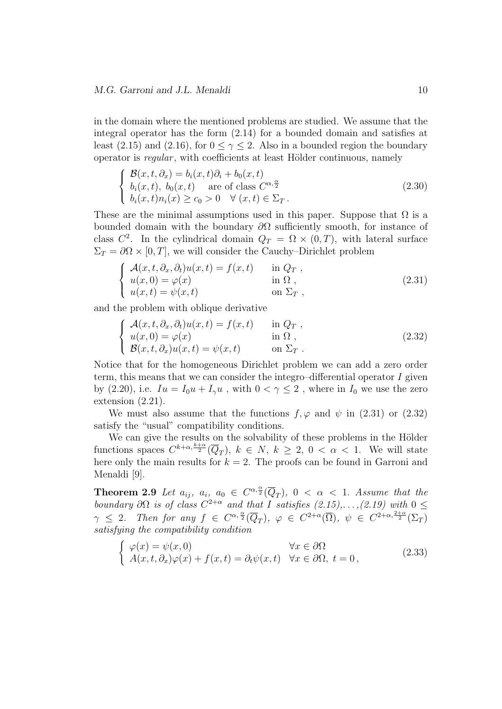in the domain where the mentioned problems are studied. We assume that the integral operator has the form (2.14) for a bounded domain and satisfies at least (2.15) and (2.16), for  $0 \leq \gamma \leq 2$ . Also in a bounded region the boundary operator is *regular*, with coefficients at least Hölder continuous, namely

$$
\begin{cases}\n\mathcal{B}(x,t,\partial_x) = b_i(x,t)\partial_i + b_0(x,t) \\
b_i(x,t), b_0(x,t) \quad \text{are of class } C^{\alpha,\frac{\alpha}{2}} \\
b_i(x,t)n_i(x) \ge c_0 > 0 \quad \forall (x,t) \in \Sigma_T.\n\end{cases}
$$
\n(2.30)

These are the minimal assumptions used in this paper. Suppose that  $\Omega$  is a bounded domain with the boundary *∂*Ω sufficiently smooth, for instance of class  $C^2$ . In the cylindrical domain  $Q_T = \Omega \times (0,T)$ , with lateral surface  $\Sigma_T = \partial \Omega \times [0, T]$ , we will consider the Cauchy–Dirichlet problem

$$
\begin{cases}\n\mathcal{A}(x,t,\partial_x,\partial_t)u(x,t) = f(x,t) & \text{in } Q_T, \\
u(x,0) = \varphi(x) & \text{in } \Omega, \\
u(x,t) = \psi(x,t) & \text{on } \Sigma_T,\n\end{cases}
$$
\n(2.31)

and the problem with oblique derivative

$$
\begin{cases}\n\mathcal{A}(x,t,\partial_x,\partial_t)u(x,t) = f(x,t) & \text{in } Q_T, \\
u(x,0) = \varphi(x) & \text{in } \Omega, \\
\mathcal{B}(x,t,\partial_x)u(x,t) = \psi(x,t) & \text{on } \Sigma_T.\n\end{cases}
$$
\n(2.32)

Notice that for the homogeneous Dirichlet problem we can add a zero order term, this means that we can consider the integro–differential operator *I* given by (2.20), i.e.  $I_u = I_0 u + I_\gamma u$ , with  $0 < \gamma \leq 2$ , where in  $I_0$  we use the zero extension (2.21).

We must also assume that the functions  $f, \varphi$  and  $\psi$  in (2.31) or (2.32) satisfy the "usual" compatibility conditions.

We can give the results on the solvability of these problems in the Hölder functions spaces  $C^{k+\alpha,\frac{k+\alpha}{2}}(\overline{Q}_T)$ ,  $k \in N$ ,  $k \geq 2$ ,  $0 < \alpha < 1$ . We will state here only the main results for  $k = 2$ . The proofs can be found in Garroni and Menaldi [9].

**Theorem 2.9** *Let*  $a_{ij}$ ,  $a_i$ ,  $a_0 \in C^{\alpha, \frac{\alpha}{2}}(\overline{Q}_T)$ ,  $0 < \alpha < 1$ . Assume that the *boundary*  $\partial\Omega$  *is of class*  $C^{2+\alpha}$  *and that I satisfies*  $(2.15), \ldots, (2.19)$  *with*  $0 \leq$  $\gamma \leq 2$ . Then for any  $f \in C^{\alpha, \frac{\alpha}{2}}(\overline{Q}_T)$ ,  $\varphi \in C^{2+\alpha}(\overline{\Omega})$ ,  $\psi \in C^{2+\alpha, \frac{2+\alpha}{2}}(\Sigma_T)$ *satisfying the compatibility condition*

$$
\begin{cases}\n\varphi(x) = \psi(x,0) & \forall x \in \partial\Omega \\
A(x,t,\partial_x)\varphi(x) + f(x,t) = \partial_t\psi(x,t) & \forall x \in \partial\Omega, \ t = 0,\n\end{cases}
$$
\n(2.33)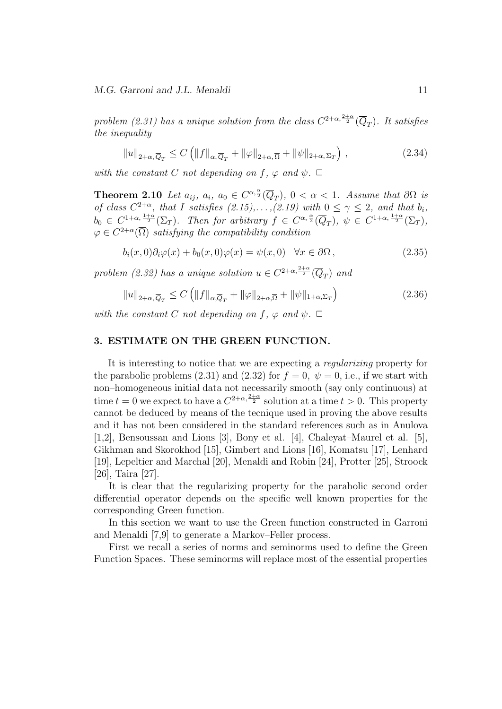*problem (2.31) has a unique solution from the class*  $C^{2+\alpha, \frac{2+\alpha}{2}}(\overline{Q}_T)$ *. It satisfies the inequality*

$$
||u||_{2+\alpha,\overline{Q}_T} \le C \left( ||f||_{\alpha,\overline{Q}_T} + ||\varphi||_{2+\alpha,\overline{\Omega}} + ||\psi||_{2+\alpha,\Sigma_T} \right),
$$
\n(2.34)

*with the constant C not depending on*  $f$ *,*  $\varphi$  *and*  $\psi$ *.*  $\Box$ 

**Theorem 2.10** *Let*  $a_{ij}$ ,  $a_i$ ,  $a_0 \in C^{\alpha, \frac{\alpha}{2}}(\overline{Q}_T)$ ,  $0 < \alpha < 1$ *. Assume that*  $\partial\Omega$  *is of class*  $C^{2+\alpha}$ *, that I satisfies*  $(2.15), \ldots, (2.19)$  with  $0 \leq \gamma \leq 2$ *, and that*  $b_i$ *,*  $b_0 \in C^{1+\alpha, \frac{1+\alpha}{2}}(\Sigma_T)$ . Then for arbitrary  $f \in C^{\alpha, \frac{\alpha}{2}}(\overline{Q}_T), \ \psi \in C^{1+\alpha, \frac{1+\alpha}{2}}(\Sigma_T)$ ,  $\varphi \in C^{2+\alpha}(\overline{\Omega})$  *satisfying the compatibility condition* 

$$
b_i(x,0)\partial_i\varphi(x) + b_0(x,0)\varphi(x) = \psi(x,0) \quad \forall x \in \partial\Omega, \tag{2.35}
$$

*problem (2.32)* has a unique solution  $u \in C^{2+\alpha, \frac{2+\alpha}{2}}(\overline{Q}_T)$  and

$$
||u||_{2+\alpha,\overline{Q}_T} \le C \left( ||f||_{\alpha,\overline{Q}_T} + ||\varphi||_{2+\alpha,\overline{\Omega}} + ||\psi||_{1+\alpha,\Sigma_T} \right) \tag{2.36}
$$

*with the constant C not depending on*  $f$ *,*  $\varphi$  *and*  $\psi$ *.*  $\Box$ 

#### **3. ESTIMATE ON THE GREEN FUNCTION.**

It is interesting to notice that we are expecting a *regularizing* property for the parabolic problems (2.31) and (2.32) for  $f = 0$ ,  $\psi = 0$ , i.e., if we start with non–homogeneous initial data not necessarily smooth (say only continuous) at time  $t = 0$  we expect to have a  $C^{2+\alpha, \frac{2+\alpha}{2}}$  solution at a time  $t > 0$ . This property cannot be deduced by means of the tecnique used in proving the above results and it has not been considered in the standard references such as in Anulova [1,2], Bensoussan and Lions [3], Bony et al. [4], Chaleyat–Maurel et al. [5], Gikhman and Skorokhod [15], Gimbert and Lions [16], Komatsu [17], Lenhard [19], Lepeltier and Marchal [20], Menaldi and Robin [24], Protter [25], Stroock [26], Taira [27].

It is clear that the regularizing property for the parabolic second order differential operator depends on the specific well known properties for the corresponding Green function.

In this section we want to use the Green function constructed in Garroni and Menaldi [7,9] to generate a Markov–Feller process.

First we recall a series of norms and seminorms used to define the Green Function Spaces. These seminorms will replace most of the essential properties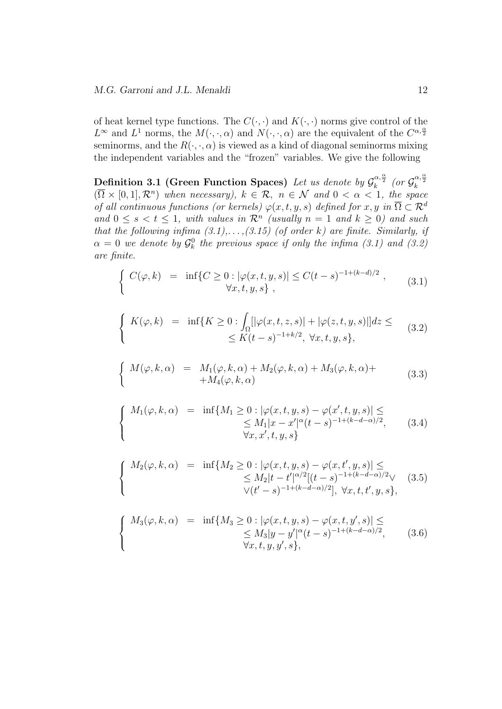of heat kernel type functions. The  $C(\cdot, \cdot)$  and  $K(\cdot, \cdot)$  norms give control of the  $L^{\infty}$  and  $L^1$  norms, the  $M(\cdot, \cdot, \alpha)$  and  $N(\cdot, \cdot, \alpha)$  are the equivalent of the  $C^{\alpha, \frac{\alpha}{2}}$ seminorms, and the  $R(\cdot, \cdot, \alpha)$  is viewed as a kind of diagonal seminorms mixing the independent variables and the "frozen" variables. We give the following

**Definition 3.1 (Green Function Spaces)** Let us denote by  $\mathcal{G}_k^{\alpha,\frac{\alpha}{2}}$  (or  $\mathcal{G}_k^{\alpha,\frac{\alpha}{2}}$ )  $(\overline{\Omega} \times [0,1], \mathcal{R}^n)$  when necessary),  $k \in \mathcal{R}$ ,  $n \in \mathcal{N}$  and  $0 < \alpha < 1$ , the space *of all continuous functions (or kernels)*  $\varphi(x, t, y, s)$  *defined for*  $x, y$  *in*  $\overline{\Omega} \subset \mathcal{R}^d$ *and*  $0 \le s < t \le 1$ , with values in  $\mathcal{R}^n$  (usually  $n = 1$  and  $k \ge 0$ ) and such *that the following infima (3.1),. . . ,(3.15) (of order k) are finite. Similarly, if*  $\alpha = 0$  *we denote by*  $\mathcal{G}_k^0$  *the previous space if only the infima (3.1) and (3.2) are finite.*

$$
\begin{cases}\nC(\varphi, k) = \inf \{ C \ge 0 : |\varphi(x, t, y, s)| \le C(t - s)^{-1 + (k - d)/2}, \\
\forall x, t, y, s \},\n\end{cases} \tag{3.1}
$$

$$
\begin{cases}\nK(\varphi, k) = \inf\{K \ge 0 : \int_{\Omega} [|\varphi(x, t, z, s)| + |\varphi(z, t, y, s)|] dz \leq \\
\leq K(t - s)^{-1 + k/2}, \ \forall x, t, y, s\},\n\end{cases} \tag{3.2}
$$

$$
\begin{cases}\nM(\varphi, k, \alpha) = M_1(\varphi, k, \alpha) + M_2(\varphi, k, \alpha) + M_3(\varphi, k, \alpha) + M_4(\varphi, k, \alpha)\n\end{cases} \tag{3.3}
$$

$$
\begin{cases}\nM_1(\varphi, k, \alpha) = \inf \{ M_1 \ge 0 : |\varphi(x, t, y, s) - \varphi(x', t, y, s)| \le \\\n\le M_1 |x - x'|^{\alpha} (t - s)^{-1 + (k - d - \alpha)/2}, \quad (3.4) \\
\forall x, x', t, y, s\}\n\end{cases}
$$

$$
\begin{cases}\nM_2(\varphi, k, \alpha) = \inf \{ M_2 \ge 0 : |\varphi(x, t, y, s) - \varphi(x, t', y, s)| \le \le M_2 |t - t'|^{\alpha/2} [(t - s)^{-1 + (k - d - \alpha)/2} \vee (3.5) \vee (t' - s)^{-1 + (k - d - \alpha)/2}], \forall x, t, t', y, s\},\n\end{cases}
$$

$$
\begin{cases}\nM_3(\varphi, k, \alpha) = \inf \{ M_3 \ge 0 : |\varphi(x, t, y, s) - \varphi(x, t, y', s)| \le \\\n\le M_3 |y - y'|^{\alpha} (t - s)^{-1 + (k - d - \alpha)/2}, \quad (3.6) \\
\forall x, t, y, y', s\},\n\end{cases}
$$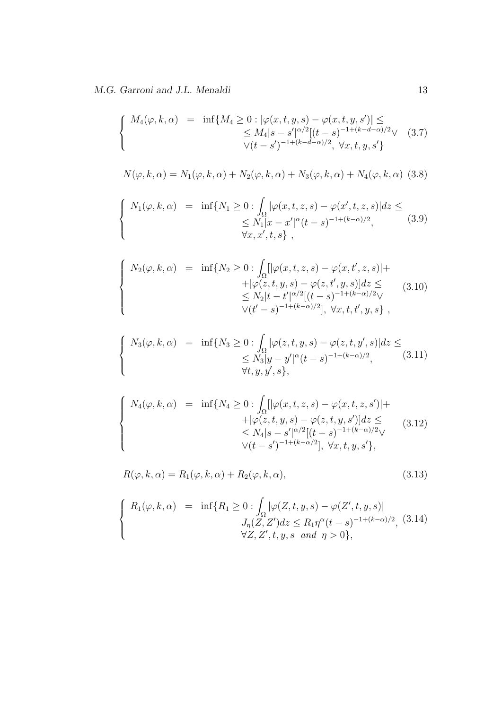$\sqrt{ }$  $\int$ 

 $\overline{a}$ 

 $\sqrt{ }$  $\Big\}$ 

 $\overline{\mathcal{L}}$ 

 $\sqrt{ }$  $\Big\}$ 

 $\overline{a}$ 

 $\sqrt{ }$  $\Big\}$ 

 $\overline{\mathcal{L}}$ 

$$
M_4(\varphi, k, \alpha) = \inf \{ M_4 \ge 0 : |\varphi(x, t, y, s) - \varphi(x, t, y, s')| \le
$$
  
 
$$
\le M_4 |s - s'|^{\alpha/2} [(t - s)^{-1 + (k - d - \alpha)/2} \vee (3.7)
$$
  
 
$$
\vee (t - s')^{-1 + (k - d - \alpha)/2}, \forall x, t, y, s' \}
$$

$$
N(\varphi, k, \alpha) = N_1(\varphi, k, \alpha) + N_2(\varphi, k, \alpha) + N_3(\varphi, k, \alpha) + N_4(\varphi, k, \alpha)
$$
 (3.8)

$$
\begin{cases}\nN_1(\varphi, k, \alpha) = \inf \{ N_1 \ge 0 : \int_{\Omega} |\varphi(x, t, z, s) - \varphi(x', t, z, s)| dz \le \\
\le N_1 |x - x'|^{\alpha} (t - s)^{-1 + (k - \alpha)/2}, \\
\forall x, x', t, s \},\n\end{cases} \tag{3.9}
$$

$$
N_2(\varphi, k, \alpha) = \inf \{ N_2 \ge 0 : \int_{\Omega} [|\varphi(x, t, z, s) - \varphi(x, t', z, s)| +
$$
  
 
$$
+ |\varphi(z, t, y, s) - \varphi(z, t', y, s)| dz \le
$$
  
 
$$
\le N_2 |t - t'|^{\alpha/2} [(t - s)^{-1 + (k - \alpha)/2}] \times
$$
  
 
$$
\forall (t' - s)^{-1 + (k - \alpha)/2} ], \forall x, t, t', y, s \},
$$
 (3.10)

$$
N_3(\varphi, k, \alpha) = \inf \{ N_3 \ge 0 : \int_{\Omega} |\varphi(z, t, y, s) - \varphi(z, t, y', s)| dz \le
$$
  
\$\le N\_3 | y - y'|^{\alpha} (t - s)^{-1 + (k - \alpha)/2}, \qquad (3.11)\$  
\$\forall t, y, y', s\$},

$$
N_4(\varphi, k, \alpha) = \inf \{ N_4 \ge 0 : \int_{\Omega} [|\varphi(x, t, z, s) - \varphi(x, t, z, s')| +
$$
  
 
$$
+ |\varphi(z, t, y, s) - \varphi(z, t, y, s')| dz \le
$$
  
 
$$
\le N_4 |s - s'|^{\alpha/2} [(t - s)^{-1 + (k - \alpha)/2} \vee
$$
  
 
$$
\vee (t - s')^{-1 + (k - \alpha)/2} ], \forall x, t, y, s' \},
$$
 (3.12)

$$
R(\varphi, k, \alpha) = R_1(\varphi, k, \alpha) + R_2(\varphi, k, \alpha), \qquad (3.13)
$$

$$
\begin{cases}\nR_1(\varphi, k, \alpha) = \inf \{ R_1 \ge 0 : \int_{\Omega} |\varphi(Z, t, y, s) - \varphi(Z', t, y, s)| \\
J_{\eta}(Z, Z')dz \le R_1 \eta^{\alpha} (t - s)^{-1 + (k - \alpha)/2}, \quad (3.14) \\
\forall Z, Z', t, y, s \text{ and } \eta > 0 \},\n\end{cases}
$$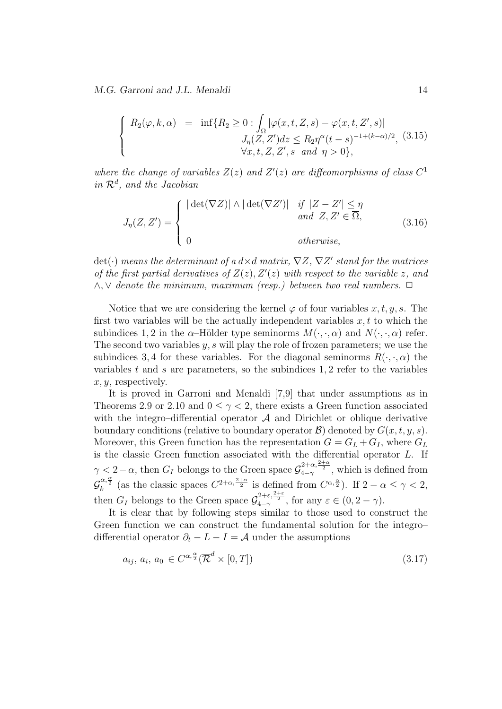*M.G. Garroni and J.L. Menaldi* 14

$$
\begin{cases}\nR_2(\varphi, k, \alpha) = \inf \{ R_2 \ge 0 : \int_{\Omega} |\varphi(x, t, Z, s) - \varphi(x, t, Z', s)| \\
J_{\eta}(Z, Z') dz \le R_2 \eta^{\alpha} (t - s)^{-1 + (k - \alpha)/2}, \ (3.15) \\
\forall x, t, Z, Z', s \ and \ \eta > 0 \},\n\end{cases}
$$

where the change of variables  $Z(z)$  and  $Z'(z)$  are diffeomorphisms of class  $C<sup>1</sup>$ *in R<sup>d</sup> , and the Jacobian*

$$
J_{\eta}(Z, Z') = \begin{cases} |\det(\nabla Z)| \wedge |\det(\nabla Z')| & \text{if } |Z - Z'| \leq \eta \\ \text{and } Z, Z' \in \overline{\Omega}, \\ 0 & \text{otherwise}, \end{cases}
$$
(3.16)

det(*·*) *means the determinant of a d×d matrix, ∇Z, ∇Z ′ stand for the matrices of the first partial derivatives of*  $Z(z)$ *,*  $Z'(z)$  *with respect to the variable z, and ∧, ∨ denote the minimum, maximum (resp.) between two real numbers. ✷*

Notice that we are considering the kernel  $\varphi$  of four variables x, t, y, s. The first two variables will be the actually independent variables  $x, t$  to which the subindices 1, 2 in the *α*–Hölder type seminorms  $M(\cdot, \cdot, \alpha)$  and  $N(\cdot, \cdot, \alpha)$  refer. The second two variables *y, s* will play the role of frozen parameters; we use the subindices 3,4 for these variables. For the diagonal seminorms  $R(\cdot, \cdot, \alpha)$  the variables *t* and *s* are parameters, so the subindices 1*,* 2 refer to the variables *x, y*, respectively.

It is proved in Garroni and Menaldi [7,9] that under assumptions as in Theorems 2.9 or 2.10 and  $0 \leq \gamma < 2$ , there exists a Green function associated with the integro–differential operator  $A$  and Dirichlet or oblique derivative boundary conditions (relative to boundary operator  $\mathcal{B}$ ) denoted by  $G(x, t, y, s)$ . Moreover, this Green function has the representation  $G = G_L + G_I$ , where  $G_L$ is the classic Green function associated with the differential operator *L*. If *γ* < 2 − *α*, then *G<sub>I</sub>* belongs to the Green space  $\mathcal{G}_{4-\gamma}^{2+\alpha,\frac{2+\alpha}{2}}$ , which is defined from  $\mathcal{G}_{k}^{\alpha,\frac{\alpha}{2}}$  (as the classic spaces  $C^{2+\alpha,\frac{2+\alpha}{2}}$  is defined from  $C^{\alpha,\frac{\alpha}{2}}$ ). If  $2-\alpha \leq \gamma < 2$ , then  $G_I$  belongs to the Green space  $\mathcal{G}_{4-\gamma}^{2+\varepsilon,\frac{2+\varepsilon}{2}}$ , for any  $\varepsilon \in (0, 2-\gamma)$ .

It is clear that by following steps similar to those used to construct the Green function we can construct the fundamental solution for the integro– differential operator  $\partial_t - L - I = A$  under the assumptions

$$
a_{ij}, a_i, a_0 \in C^{\alpha, \frac{\alpha}{2}}(\overline{\mathcal{R}}^d \times [0, T])
$$
\n
$$
(3.17)
$$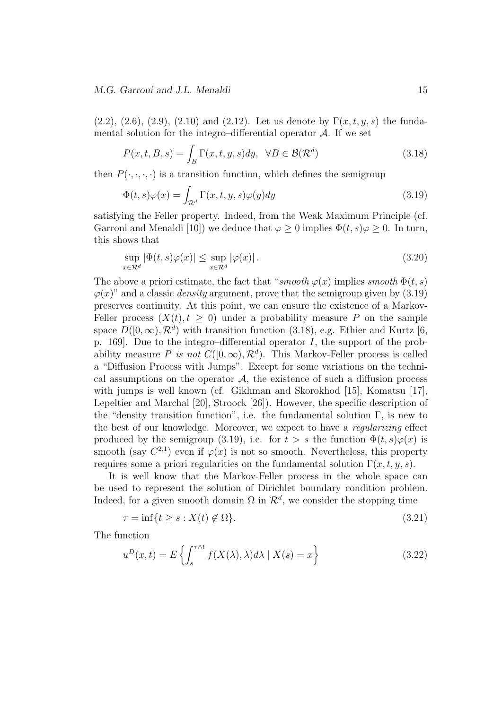#### *M.G. Garroni and J.L. Menaldi* 15

(2.2), (2.6), (2.9), (2.10) and (2.12). Let us denote by  $\Gamma(x, t, y, s)$  the fundamental solution for the integro–differential operator  $A$ . If we set

$$
P(x,t,B,s) = \int_{B} \Gamma(x,t,y,s) dy, \ \ \forall B \in \mathcal{B}(\mathcal{R}^{d})
$$
\n(3.18)

then  $P(\cdot, \cdot, \cdot, \cdot)$  is a transition function, which defines the semigroup

$$
\Phi(t,s)\varphi(x) = \int_{\mathcal{R}^d} \Gamma(x,t,y,s)\varphi(y)dy
$$
\n(3.19)

satisfying the Feller property. Indeed, from the Weak Maximum Principle (cf. Garroni and Menaldi [10]) we deduce that  $\varphi > 0$  implies  $\Phi(t, s) \varphi > 0$ . In turn, this shows that

$$
\sup_{x \in \mathcal{R}^d} |\Phi(t, s)\varphi(x)| \le \sup_{x \in \mathcal{R}^d} |\varphi(x)|. \tag{3.20}
$$

The above a priori estimate, the fact that "*smooth*  $\varphi(x)$  implies *smooth*  $\Phi(t, s)$  $\varphi(x)$ " and a classic *density* argument, prove that the semigroup given by (3.19) preserves continuity. At this point, we can ensure the existence of a Markov-Feller process  $(X(t), t \geq 0)$  under a probability measure P on the sample space  $D([0,\infty), \mathcal{R}^d)$  with transition function (3.18), e.g. Ethier and Kurtz [6, p. 169]. Due to the integro–differential operator *I*, the support of the probability measure *P* is not  $C([0,\infty), \mathcal{R}^d)$ . This Markov-Feller process is called a "Diffusion Process with Jumps". Except for some variations on the technical assumptions on the operator  $A$ , the existence of such a diffusion process with jumps is well known (cf. Gikhman and Skorokhod [15], Komatsu [17], Lepeltier and Marchal [20], Stroock [26]). However, the specific description of the "density transition function", i.e. the fundamental solution  $\Gamma$ , is new to the best of our knowledge. Moreover, we expect to have a *regularizing* effect produced by the semigroup (3.19), i.e. for  $t > s$  the function  $\Phi(t, s)\varphi(x)$  is smooth (say  $C^{2,1}$ ) even if  $\varphi(x)$  is not so smooth. Nevertheless, this property requires some a priori regularities on the fundamental solution  $\Gamma(x, t, y, s)$ .

It is well know that the Markov-Feller process in the whole space can be used to represent the solution of Dirichlet boundary condition problem. Indeed, for a given smooth domain  $\Omega$  in  $\mathcal{R}^d$ , we consider the stopping time

$$
\tau = \inf\{t \ge s : X(t) \notin \Omega\}.\tag{3.21}
$$

The function

$$
u^{D}(x,t) = E\left\{ \int_{s}^{\tau \wedge t} f(X(\lambda), \lambda) d\lambda \mid X(s) = x \right\}
$$
 (3.22)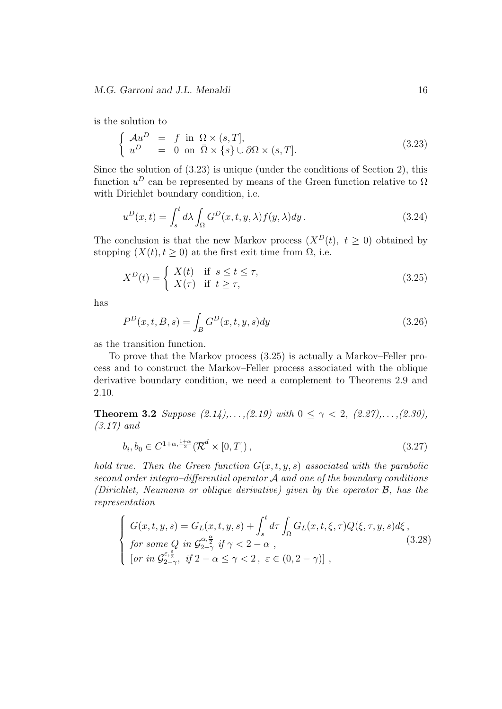is the solution to

$$
\begin{cases}\n\mathcal{A}u^D = f \text{ in } \Omega \times (s, T], \\
u^D = 0 \text{ on } \overline{\Omega} \times \{s\} \cup \partial \Omega \times (s, T].\n\end{cases}
$$
\n(3.23)

Since the solution of (3.23) is unique (under the conditions of Section 2), this function  $u^D$  can be represented by means of the Green function relative to  $\Omega$ with Dirichlet boundary condition, i.e.

$$
u^{D}(x,t) = \int_{s}^{t} d\lambda \int_{\Omega} G^{D}(x,t,y,\lambda) f(y,\lambda) dy.
$$
 (3.24)

The conclusion is that the new Markov process  $(X^D(t), t \ge 0)$  obtained by stopping  $(X(t), t \geq 0)$  at the first exit time from  $\Omega$ , i.e.

$$
X^{D}(t) = \begin{cases} X(t) & \text{if } s \leq t \leq \tau, \\ X(\tau) & \text{if } t \geq \tau, \end{cases}
$$
 (3.25)

has

$$
P^{D}(x,t,B,s) = \int_{B} G^{D}(x,t,y,s) dy
$$
\n(3.26)

as the transition function.

To prove that the Markov process (3.25) is actually a Markov–Feller process and to construct the Markov–Feller process associated with the oblique derivative boundary condition, we need a complement to Theorems 2.9 and 2.10.

**Theorem 3.2** *Suppose*  $(2.14), \ldots, (2.19)$  *with*  $0 \leq \gamma < 2$ ,  $(2.27), \ldots, (2.30)$ , *(3.17) and*

$$
b_i, b_0 \in C^{1+\alpha, \frac{1+\alpha}{2}}(\overline{\mathcal{R}}^d \times [0, T]), \qquad (3.27)
$$

*hold true. Then the Green function*  $G(x, t, y, s)$  *associated with the parabolic second order integro–differential operator A and one of the boundary conditions (Dirichlet, Neumann or oblique derivative) given by the operator B, has the representation*

$$
\begin{cases}\nG(x,t,y,s) = G_L(x,t,y,s) + \int_s^t d\tau \int_{\Omega} G_L(x,t,\xi,\tau) Q(\xi,\tau,y,s) d\xi, \\
for some Q in  $\mathcal{G}_{2-\gamma}^{\alpha,\frac{\alpha}{2}} if \gamma < 2 - \alpha , \\
\text{for in } \mathcal{G}_{2-\gamma}^{\varepsilon,\frac{\varepsilon}{2}}, \text{ if } 2 - \alpha \le \gamma < 2, \ \varepsilon \in (0, 2 - \gamma)\text{]}\n\end{cases}$ \n
$$
(3.28)
$$
$$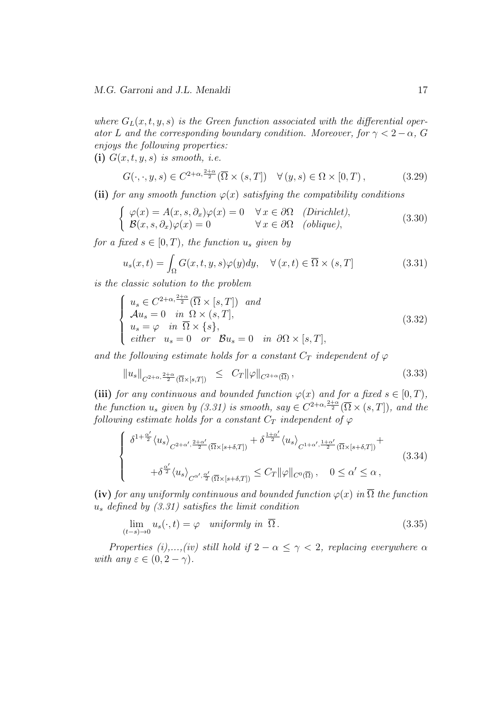where  $G_L(x, t, y, s)$  *is the Green function associated with the differential operator L* and the corresponding boundary condition. Moreover, for  $\gamma < 2 - \alpha$ , G *enjoys the following properties:*

**(i)**  $G(x, t, y, s)$  *is smooth, i.e.* 

$$
G(\cdot, \cdot, y, s) \in C^{2+\alpha, \frac{2+\alpha}{2}}(\overline{\Omega} \times (s, T]) \quad \forall (y, s) \in \Omega \times [0, T), \tag{3.29}
$$

**(ii)** *for any smooth function*  $\varphi(x)$  *satisfying the compatibility conditions* 

$$
\begin{cases}\n\varphi(x) = A(x, s, \partial_x)\varphi(x) = 0 & \forall x \in \partial\Omega \quad (Dirichlet), \\
\mathcal{B}(x, s, \partial_x)\varphi(x) = 0 & \forall x \in \partial\Omega \quad (oblique),\n\end{cases}
$$
\n(3.30)

*for a fixed*  $s \in [0, T)$ *, the function*  $u_s$  *given by* 

$$
u_s(x,t) = \int_{\Omega} G(x,t,y,s)\varphi(y)dy, \quad \forall (x,t) \in \overline{\Omega} \times (s,T]
$$
 (3.31)

*is the classic solution to the problem*

$$
\begin{cases}\n u_s \in C^{2+\alpha, \frac{2+\alpha}{2}}(\overline{\Omega} \times [s, T]) \quad and \\
 \mathcal{A}u_s = 0 \quad in \quad \Omega \times (s, T], \\
 u_s = \varphi \quad in \quad \overline{\Omega} \times \{s\}, \\
 either \quad u_s = 0 \quad or \quad \mathcal{B}u_s = 0 \quad in \quad \partial\Omega \times [s, T],\n\end{cases} \tag{3.32}
$$

*and the following estimate holds for a constant*  $C_T$  *independent* of  $\varphi$ 

$$
||u_s||_{C^{2+\alpha,\frac{2+\alpha}{2}}(\overline{\Omega}\times[s,T])} \leq C_T ||\varphi||_{C^{2+\alpha}(\overline{\Omega})}, \qquad (3.33)
$$

**(iii)** *for any continuous and bounded function*  $\varphi(x)$  *and for a fixed*  $s \in [0, T)$ *, the function*  $u_s$  *given by (3.31) is smooth, say*  $\in C^{2+\alpha, \frac{2+\alpha}{2}}(\overline{\Omega} \times (s,T])$ *, and the following estimate holds for a constant*  $C_T$  *independent of*  $\varphi$ 

$$
\begin{cases} \delta^{1+\frac{\alpha'}{2}} \langle u_s \rangle_{C^{2+\alpha',\frac{2+\alpha'}{2}}(\overline{\Omega} \times [s+\delta,T])} + \delta^{\frac{1+\alpha'}{2}} \langle u_s \rangle_{C^{1+\alpha',\frac{1+\alpha'}{2}}(\overline{\Omega} \times [s+\delta,T])} + \\ + \delta^{\frac{\alpha'}{2}} \langle u_s \rangle_{C^{\alpha',\frac{\alpha'}{2}}(\overline{\Omega} \times [s+\delta,T])} \leq C_T ||\varphi||_{C^0(\overline{\Omega})}, \quad 0 \leq \alpha' \leq \alpha \,, \end{cases} \tag{3.34}
$$

**(iv)** *for any uniformly continuous and bounded function*  $\varphi(x)$  *in*  $\overline{\Omega}$  *the function u<sup>s</sup> defined by (3.31) satisfies the limit condition*

$$
\lim_{(t-s)\to 0} u_s(\cdot, t) = \varphi \quad \text{uniformly in } \overline{\Omega} \,.
$$
\n(3.35)

*Properties (i),...,(iv) still hold if*  $2 - \alpha \leq \gamma < 2$ *, replacing everywhere*  $\alpha$ *with any*  $\varepsilon \in (0, 2 - \gamma)$ *.*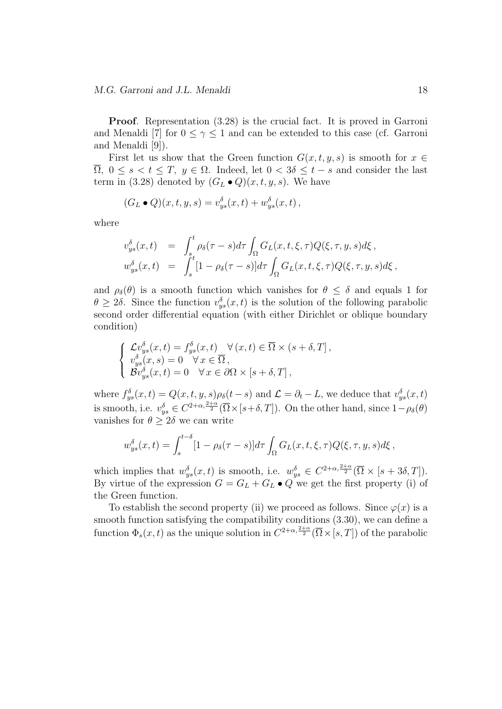**Proof**. Representation (3.28) is the crucial fact. It is proved in Garroni and Menaldi [7] for  $0 \leq \gamma \leq 1$  and can be extended to this case (cf. Garroni and Menaldi [9]).

First let us show that the Green function  $G(x, t, y, s)$  is smooth for  $x \in$  $\overline{\Omega}$ ,  $0 \le s < t \le T$ ,  $y \in \Omega$ . Indeed, let  $0 < 3\delta \le t - s$  and consider the last term in (3.28) denoted by  $(G_L \bullet Q)(x, t, y, s)$ . We have

$$
(G_L \bullet Q)(x, t, y, s) = v_{ys}^{\delta}(x, t) + w_{ys}^{\delta}(x, t) ,
$$

where

$$
v_{ys}^{\delta}(x,t) = \int_{s}^{t} \rho_{\delta}(\tau - s) d\tau \int_{\Omega} G_{L}(x,t,\xi,\tau) Q(\xi,\tau,y,s) d\xi ,
$$
  

$$
w_{ys}^{\delta}(x,t) = \int_{s}^{t} [1 - \rho_{\delta}(\tau - s)] d\tau \int_{\Omega} G_{L}(x,t,\xi,\tau) Q(\xi,\tau,y,s) d\xi ,
$$

and  $\rho_{\delta}(\theta)$  is a smooth function which vanishes for  $\theta \leq \delta$  and equals 1 for  $\theta \geq 2\delta$ . Since the function  $v_{ys}^{\delta}(x,t)$  is the solution of the following parabolic second order differential equation (with either Dirichlet or oblique boundary condition)

$$
\begin{cases}\n\mathcal{L}v_{ys}^{\delta}(x,t) = f_{ys}^{\delta}(x,t) & \forall (x,t) \in \overline{\Omega} \times (s+\delta,T], \\
v_{ys}^{\delta}(x,s) = 0 & \forall x \in \overline{\Omega}, \\
\mathcal{B}v_{ys}^{\delta}(x,t) = 0 & \forall x \in \partial\Omega \times [s+\delta,T],\n\end{cases}
$$

where  $f_{ys}^{\delta}(x,t) = Q(x,t,y,s)\rho_{\delta}(t-s)$  and  $\mathcal{L} = \partial_t - L$ , we deduce that  $v_{ys}^{\delta}(x,t)$ is smooth, i.e.  $v_{ys}^{\delta} \in C^{2+\alpha, \frac{2+\alpha}{2}}(\overline{\Omega} \times [s+\delta, T])$ . On the other hand, since  $1-\rho_{\delta}(\theta)$ vanishes for  $\theta > 2\delta$  we can write

$$
w_{ys}^{\delta}(x,t) = \int_{s}^{t-\delta} [1 - \rho_{\delta}(\tau - s)] d\tau \int_{\Omega} G_L(x,t,\xi,\tau) Q(\xi,\tau,y,s) d\xi,
$$

which implies that  $w_{ys}^{\delta}(x,t)$  is smooth, i.e.  $w_{ys}^{\delta} \in C^{2+\alpha,\frac{2+\alpha}{2}}(\overline{\Omega} \times [s+3\delta,T])$ . By virtue of the expression  $G = G_L + G_L \bullet Q$  we get the first property (i) of the Green function.

To establish the second property (ii) we proceed as follows. Since  $\varphi(x)$  is a smooth function satisfying the compatibility conditions (3.30), we can define a function  $\Phi_s(x,t)$  as the unique solution in  $C^{2+\alpha,\frac{2+\alpha}{2}}(\overline{\Omega}\times[s,T])$  of the parabolic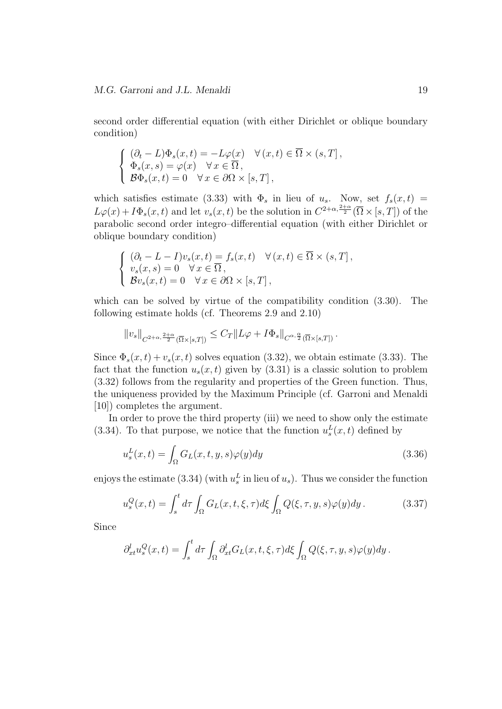second order differential equation (with either Dirichlet or oblique boundary condition)

$$
\begin{cases} \n(\partial_t - L)\Phi_s(x,t) = -L\varphi(x) & \forall (x,t) \in \overline{\Omega} \times (s,T],\\ \n\Phi_s(x,s) = \varphi(x) & \forall x \in \overline{\Omega},\\ \n\mathcal{B}\Phi_s(x,t) = 0 & \forall x \in \partial\Omega \times [s,T], \n\end{cases}
$$

which satisfies estimate (3.33) with  $\Phi_s$  in lieu of  $u_s$ . Now, set  $f_s(x,t)$  $L\varphi(x) + I\Phi_s(x,t)$  and let  $v_s(x,t)$  be the solution in  $C^{2+\alpha,\frac{2+\alpha}{2}}(\overline{\Omega}\times[s,T])$  of the parabolic second order integro–differential equation (with either Dirichlet or oblique boundary condition)

$$
\begin{cases}\n(\partial_t - L - I)v_s(x, t) = f_s(x, t) & \forall (x, t) \in \overline{\Omega} \times (s, T], \\
v_s(x, s) = 0 & \forall x \in \overline{\Omega}, \\
\mathcal{B}v_s(x, t) = 0 & \forall x \in \partial\Omega \times [s, T],\n\end{cases}
$$

which can be solved by virtue of the compatibility condition (3.30). The following estimate holds (cf. Theorems 2.9 and 2.10)

$$
||v_s||_{C^{2+\alpha,\frac{2+\alpha}{2}}(\overline{\Omega}\times[s,T])}\leq C_T||L\varphi+I\Phi_s||_{C^{\alpha,\frac{\alpha}{2}}(\overline{\Omega}\times[s,T])}.
$$

Since  $\Phi_s(x,t) + v_s(x,t)$  solves equation (3.32), we obtain estimate (3.33). The fact that the function  $u_s(x, t)$  given by (3.31) is a classic solution to problem (3.32) follows from the regularity and properties of the Green function. Thus, the uniqueness provided by the Maximum Principle (cf. Garroni and Menaldi [10]) completes the argument.

In order to prove the third property (iii) we need to show only the estimate (3.34). To that purpose, we notice that the function  $u_s^L(x,t)$  defined by

$$
u_s^L(x,t) = \int_{\Omega} G_L(x,t,y,s)\varphi(y)dy
$$
\n(3.36)

enjoys the estimate (3.34) (with  $u_s^L$  in lieu of  $u_s$ ). Thus we consider the function

$$
u_s^Q(x,t) = \int_s^t d\tau \int_{\Omega} G_L(x,t,\xi,\tau) d\xi \int_{\Omega} Q(\xi,\tau,y,s)\varphi(y) dy.
$$
 (3.37)

Since

$$
\partial_{xt}^l u_s^Q(x,t) = \int_s^t d\tau \int_{\Omega} \partial_{xt}^l G_L(x,t,\xi,\tau) d\xi \int_{\Omega} Q(\xi,\tau,y,s) \varphi(y) dy.
$$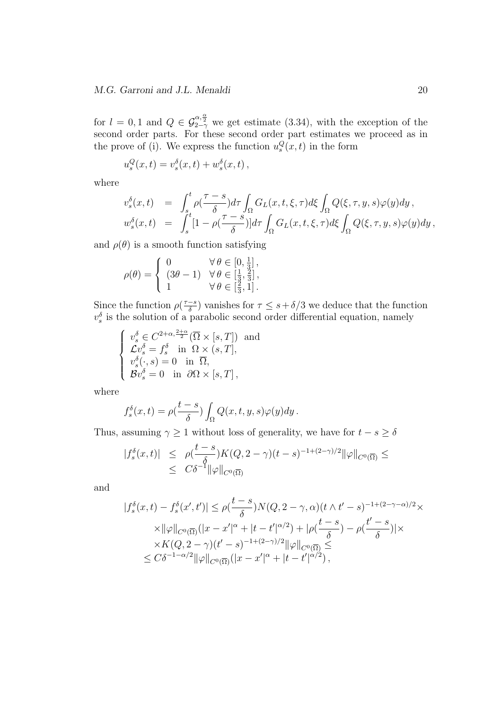for  $l = 0, 1$  and  $Q \in \mathcal{G}_{2-\gamma}^{\alpha, \frac{\alpha}{2}}$  we get estimate (3.34), with the exception of the second order parts. For these second order part estimates we proceed as in the prove of (i). We express the function  $u_s^Q(x, t)$  in the form

$$
u_s^Q(x,t) = v_s^{\delta}(x,t) + w_s^{\delta}(x,t),
$$

where

$$
\begin{array}{rcl}\nv_s^{\delta}(x,t) & = & \displaystyle\int_{s}^{t}\rho(\frac{\tau-s}{\delta})d\tau\int_{\Omega}G_L(x,t,\xi,\tau)d\xi\int_{\Omega}Q(\xi,\tau,y,s)\varphi(y)dy\,,\\ w_s^{\delta}(x,t) & = & \displaystyle\int_{s}^{t}[1-\rho(\frac{\tau-s}{\delta})]d\tau\int_{\Omega}G_L(x,t,\xi,\tau)d\xi\int_{\Omega}Q(\xi,\tau,y,s)\varphi(y)dy\,,\end{array}
$$

and  $\rho(\theta)$  is a smooth function satisfying

$$
\rho(\theta) = \begin{cases} 0 & \forall \theta \in [0, \frac{1}{3}], \\ (3\theta - 1) & \forall \theta \in [\frac{1}{3}, \frac{2}{3}], \\ 1 & \forall \theta \in [\frac{2}{3}, 1]. \end{cases}
$$

Since the function  $\rho(\frac{\tau-s}{\delta})$  $\frac{-s}{\delta}$ ) vanishes for  $\tau \leq s + \delta/3$  we deduce that the function  $v_s^{\delta}$  is the solution of a parabolic second order differential equation, namely

$$
\begin{cases}\nv_s^{\delta} \in C^{2+\alpha, \frac{2+\alpha}{2}}(\overline{\Omega} \times [s, T]) \text{ and} \\
\mathcal{L}v_s^{\delta} = f_s^{\delta} \text{ in } \Omega \times (s, T], \\
v_s^{\delta}(\cdot, s) = 0 \text{ in } \overline{\Omega}, \\
\mathcal{B}v_s^{\delta} = 0 \text{ in } \partial\Omega \times [s, T],\n\end{cases}
$$

where

$$
f_s^{\delta}(x,t) = \rho(\frac{t-s}{\delta}) \int_{\Omega} Q(x,t,y,s) \varphi(y) dy.
$$

Thus, assuming  $\gamma \geq 1$  without loss of generality, we have for  $t - s \geq \delta$ 

$$
|f_s^{\delta}(x,t)| \leq \rho(\frac{t-s}{\delta})K(Q, 2-\gamma)(t-s)^{-1+(2-\gamma)/2} \|\varphi\|_{C^0(\overline{\Omega})} \leq
$$
  
 
$$
\leq C\delta^{-1} \|\varphi\|_{C^0(\overline{\Omega})}
$$

and

$$
|f_s^{\delta}(x,t) - f_s^{\delta}(x',t')| \le \rho(\frac{t-s}{\delta})N(Q, 2-\gamma, \alpha)(t \wedge t' - s)^{-1 + (2-\gamma-\alpha)/2} \times
$$
  
 
$$
\times ||\varphi||_{C^0(\overline{\Omega})}(|x - x'|^{\alpha} + |t - t'|^{\alpha/2}) + |\rho(\frac{t-s}{\delta}) - \rho(\frac{t'-s}{\delta})| \times
$$
  
 
$$
\times K(Q, 2-\gamma)(t'-s)^{-1 + (2-\gamma)/2} ||\varphi||_{C^0(\overline{\Omega})} \le
$$
  
 
$$
\le C\delta^{-1-\alpha/2} ||\varphi||_{C^0(\overline{\Omega})}(|x - x'|^{\alpha} + |t - t'|^{\alpha/2}),
$$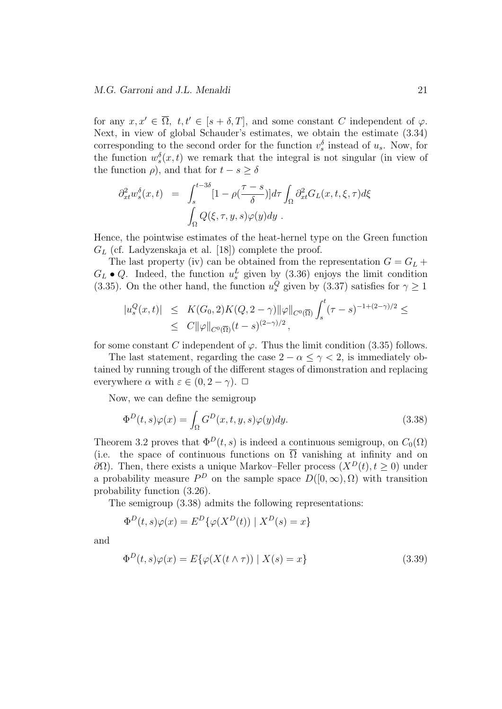for any  $x, x' \in \overline{\Omega}$ ,  $t, t' \in [s + \delta, T]$ , and some constant *C* independent of  $\varphi$ . Next, in view of global Schauder's estimates, we obtain the estimate (3.34) corresponding to the second order for the function  $v_s^{\delta}$  instead of  $u_s$ . Now, for the function  $w_s^{\delta}(x,t)$  we remark that the integral is not singular (in view of the function  $\rho$ , and that for  $t - s \geq \delta$ 

$$
\partial_{xt}^2 w_s^{\delta}(x,t) = \int_s^{t-3\delta} [1 - \rho(\frac{\tau - s}{\delta})] d\tau \int_{\Omega} \partial_{xt}^2 G_L(x,t,\xi,\tau) d\xi
$$

$$
\int_{\Omega} Q(\xi,\tau,y,s) \varphi(y) dy.
$$

Hence, the pointwise estimates of the heat-hernel type on the Green function *G<sup>L</sup>* (cf. Ladyzenskaja et al. [18]) complete the proof.

The last property (iv) can be obtained from the representation  $G = G_L +$  $G_L \bullet Q$ . Indeed, the function  $u_s^L$  given by (3.36) enjoys the limit condition (3.35). On the other hand, the function  $u_s^Q$  given by (3.37) satisfies for  $\gamma \ge 1$ 

$$
|u_s^Q(x,t)| \leq K(G_0, 2)K(Q, 2-\gamma) \|\varphi\|_{C^0(\overline{\Omega})} \int_s^t (\tau - s)^{-1 + (2-\gamma)/2} \leq
$$
  
 
$$
\leq C \|\varphi\|_{C^0(\overline{\Omega})} (t - s)^{(2-\gamma)/2},
$$

for some constant *C* independent of  $\varphi$ . Thus the limit condition (3.35) follows.

The last statement, regarding the case  $2 - \alpha \leq \gamma < 2$ , is immediately obtained by running trough of the different stages of dimonstration and replacing everywhere  $\alpha$  with  $\varepsilon \in (0, 2 - \gamma)$ .  $\Box$ 

Now, we can define the semigroup

$$
\Phi^{D}(t,s)\varphi(x) = \int_{\Omega} G^{D}(x,t,y,s)\varphi(y)dy.
$$
\n(3.38)

Theorem 3.2 proves that  $\Phi^D(t, s)$  is indeed a continuous semigroup, on  $C_0(\Omega)$ (i.e. the space of continuous functions on  $\overline{\Omega}$  vanishing at infinity and on *∂*Ω). Then, there exists a unique Markov–Feller process (*X<sup>D</sup>*(*t*)*, t* ≥ 0) under a probability measure  $P^D$  on the sample space  $D([0,\infty),\Omega)$  with transition probability function (3.26).

The semigroup (3.38) admits the following representations:

$$
\Phi^{D}(t,s)\varphi(x) = E^{D}\{\varphi(X^{D}(t)) \mid X^{D}(s) = x\}
$$

and

$$
\Phi^{D}(t,s)\varphi(x) = E\{\varphi(X(t \wedge \tau)) \mid X(s) = x\}
$$
\n(3.39)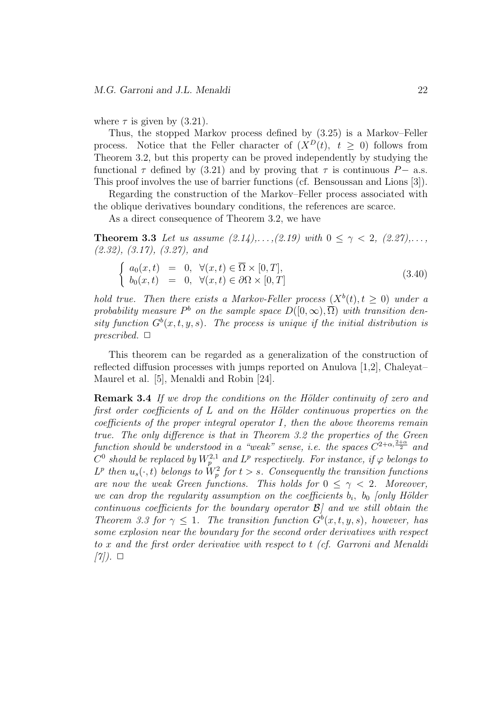where  $\tau$  is given by  $(3.21)$ .

Thus, the stopped Markov process defined by (3.25) is a Markov–Feller process. Notice that the Feller character of  $(X^D(t), t > 0)$  follows from Theorem 3.2, but this property can be proved independently by studying the functional  $\tau$  defined by (3.21) and by proving that  $\tau$  is continuous  $P-$  a.s. This proof involves the use of barrier functions (cf. Bensoussan and Lions [3]).

Regarding the construction of the Markov–Feller process associated with the oblique derivatives boundary conditions, the references are scarce.

As a direct consequence of Theorem 3.2, we have

**Theorem 3.3** *Let us assume*  $(2.14), \ldots, (2.19)$  *with*  $0 \le \gamma < 2, (2.27), \ldots$ , *(2.32), (3.17), (3.27), and*

$$
\begin{cases}\na_0(x,t) = 0, \forall (x,t) \in \overline{\Omega} \times [0,T], \\
b_0(x,t) = 0, \forall (x,t) \in \partial \Omega \times [0,T]\n\end{cases}
$$
\n(3.40)

*hold true. Then there exists a Markov-Feller process*  $(X^b(t), t \ge 0)$  *under a* probability measure  $P^b$  on the sample space  $D([0,\infty),\overline{\Omega})$  with transition den*sity function*  $G^b(x, t, y, s)$ *. The process is unique if the initial distribution is*  $prescribed. \Box$ 

This theorem can be regarded as a generalization of the construction of reflected diffusion processes with jumps reported on Anulova [1,2], Chaleyat– Maurel et al. [5], Menaldi and Robin [24].

**Remark 3.4** If we drop the conditions on the Hölder continuity of zero and *first order coefficients of L* and on the Hölder continuous properties on the *coefficients of the proper integral operator I, then the above theorems remain true. The only difference is that in Theorem 3.2 the properties of the Green function should be understood in a "weak" sense, i.e. the spaces*  $C^{2+\alpha,\frac{2+\alpha}{2}}$  and  $C^0$  *should be replaced by*  $W_p^{2,1}$  *and*  $L^p$  *respectively. For instance, if*  $\varphi$  *belongs to*  $L^p$  then  $u_s(\cdot, t)$  belongs to  $\tilde{W}^2_p$  for  $t > s$ . Consequently the transition functions *are now the weak Green functions. This holds for*  $0 \leq \gamma < 2$ *. Moreover, we can drop the regularity assumption on the coefficients*  $b_i$ ,  $b_0$  *[only Hölder continuous coefficients for the boundary operator B] and we still obtain the Theorem 3.3 for*  $\gamma \leq 1$ *. The transition function*  $G^b(x, t, y, s)$ *, however, has some explosion near the boundary for the second order derivatives with respect to x and the first order derivative with respect to t (cf. Garroni and Menaldi [7]). ✷*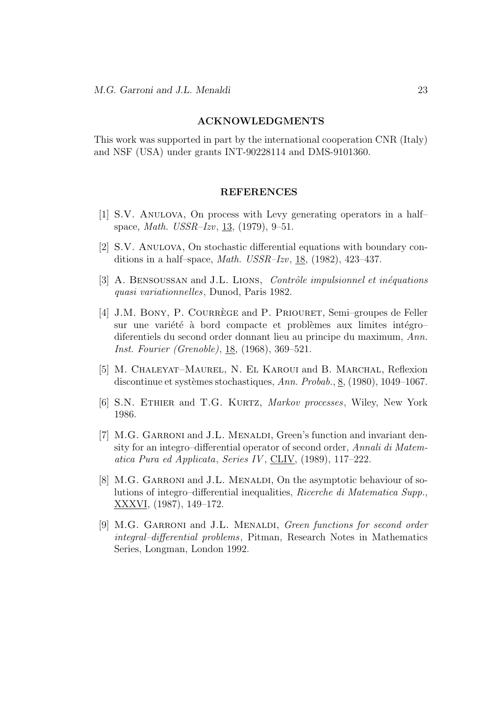#### **ACKNOWLEDGMENTS**

This work was supported in part by the international cooperation CNR (Italy) and NSF (USA) under grants INT-90228114 and DMS-9101360.

#### **REFERENCES**

- $[1]$  S.V. ANULOVA, On process with Levy generating operators in a halfspace, *Math. USSR–Izv*, 13, (1979), 9–51.
- [2] S.V. Anulova, On stochastic differential equations with boundary conditions in a half–space, *Math. USSR–Izv*, 18, (1982), 423–437.
- [3] A. BENSOUSSAN and J.L. LIONS, *Contrôle impulsionnel et inéquations quasi variationnelles*, Dunod, Paris 1982.
- [4] J.M. BONY, P. COURREGE and P. PRIOURET, Semi–groupes de Feller sur une variété à bord compacte et problèmes aux limites intégro– diferentiels du second order donnant lieu au principe du maximum, *Ann. Inst. Fourier (Grenoble)*, <u>18</u>, (1968), 369–521.
- [5] M. CHALEYAT–MAUREL, N. EL KAROUI and B. MARCHAL, Reflexion discontinue et syst`emes stochastiques, *Ann. Probab.*, 8, (1980), 1049–1067.
- [6] S.N. Ethier and T.G. Kurtz, *Markov processes*, Wiley, New York 1986.
- [7] M.G. GARRONI and J.L. MENALDI, Green's function and invariant density for an integro–differential operator of second order, *Annali di Matematica Pura ed Applicata*, *Series IV* , CLIV, (1989), 117–222.
- [8] M.G. GARRONI and J.L. MENALDI, On the asymptotic behaviour of solutions of integro–differential inequalities, *Ricerche di Matematica Supp.*, XXXVI, (1987), 149–172.
- [9] M.G. Garroni and J.L. Menaldi, *Green functions for second order integral–differential problems*, Pitman, Research Notes in Mathematics Series, Longman, London 1992.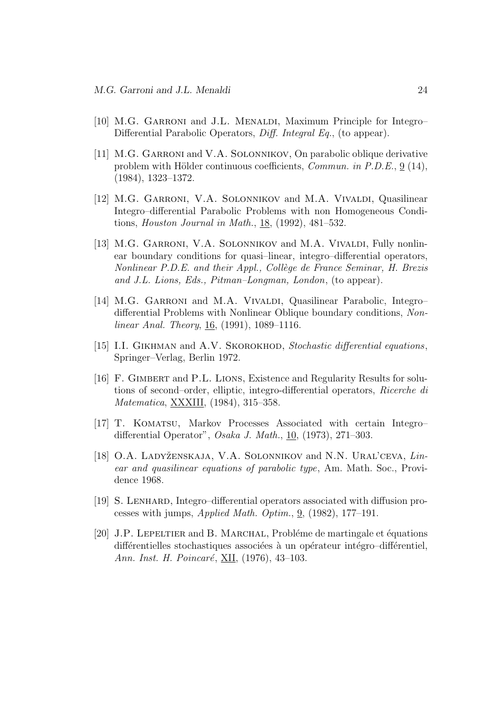- [10] M.G. GARRONI and J.L. MENALDI, Maximum Principle for Integro– Differential Parabolic Operators, *Diff. Integral Eq.*, (to appear).
- [11] M.G. GARRONI and V.A. SOLONNIKOV, On parabolic oblique derivative problem with Hölder continuous coefficients, *Commun. in P.D.E.*, 9 (14), (1984), 1323–1372.
- [12] M.G. GARRONI, V.A. SOLONNIKOV and M.A. VIVALDI, Quasilinear Integro–differential Parabolic Problems with non Homogeneous Conditions, *Houston Journal in Math.*, 18, (1992), 481–532.
- [13] M.G. GARRONI, V.A. SOLONNIKOV and M.A. VIVALDI, Fully nonlinear boundary conditions for quasi–linear, integro–differential operators, *Nonlinear P.D.E. and their Appl., Coll`ege de France Seminar, H. Brezis and J.L. Lions, Eds., Pitman–Longman, London*, (to appear).
- [14] M.G. GARRONI and M.A. VIVALDI, Quasilinear Parabolic, Integro– differential Problems with Nonlinear Oblique boundary conditions, *Nonlinear Anal. Theory*, 16, (1991), 1089–1116.
- [15] I.I. GIKHMAN and A.V. SKOROKHOD, *Stochastic differential equations*, Springer–Verlag, Berlin 1972.
- [16] F. Gimbert and P.L. Lions, Existence and Regularity Results for solutions of second–order, elliptic, integro-differential operators, *Ricerche di Matematica*, XXXIII, (1984), 315–358.
- [17] T. Komatsu, Markov Processes Associated with certain Integro– differential Operator", *Osaka J. Math.*, 10, (1973), 271–303.
- [18] O.A. Ladyˇzenskaja, V.A. Solonnikov and N.N. Ural'ceva, *Linear and quasilinear equations of parabolic type*, Am. Math. Soc., Providence 1968.
- [19] S. Lenhard, Integro–differential operators associated with diffusion processes with jumps, *Applied Math. Optim.*, 9, (1982), 177–191.
- [20] J.P. LEPELTIER and B. MARCHAL, Probléme de martingale et équations différentielles stochastiques associées à un opérateur intégro–différentiel, Ann. Inst. H. Poincaré, **XII**, (1976), 43-103.